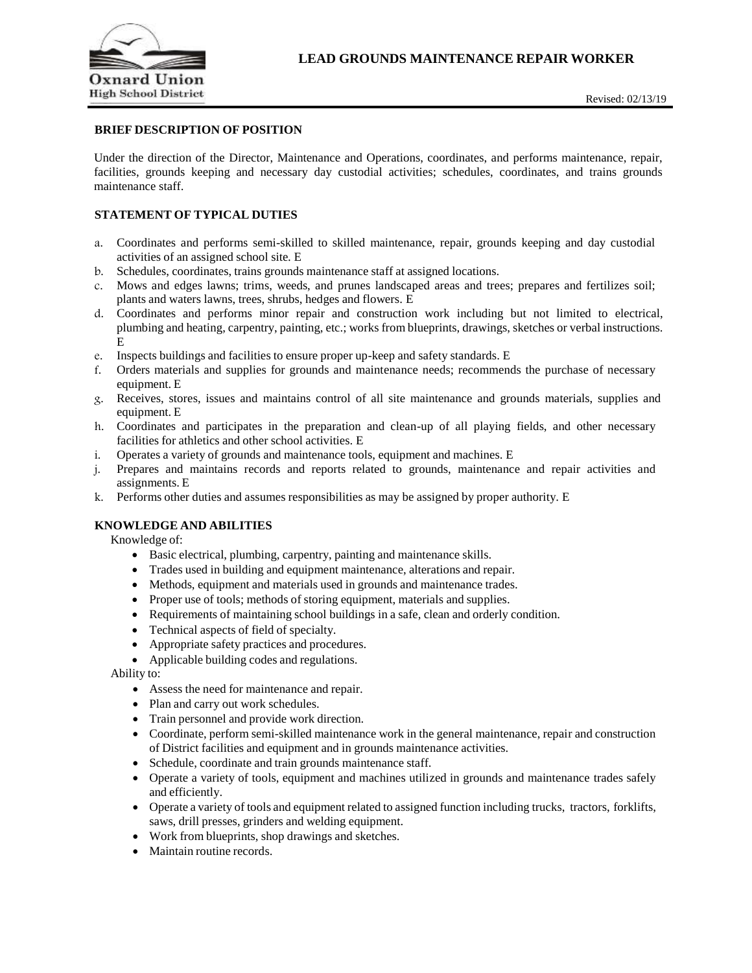

# **BRIEF DESCRIPTION OF POSITION**

Under the direction of the Director, Maintenance and Operations, coordinates, and performs maintenance, repair, facilities, grounds keeping and necessary day custodial activities; schedules, coordinates, and trains grounds maintenance staff.

## **STATEMENT OF TYPICAL DUTIES**

- a. Coordinates and performs semi-skilled to skilled maintenance, repair, grounds keeping and day custodial activities of an assigned school site. E
- b. Schedules, coordinates, trains grounds maintenance staff at assigned locations.
- c. Mows and edges lawns; trims, weeds, and prunes landscaped areas and trees; prepares and fertilizes soil; plants and waters lawns, trees, shrubs, hedges and flowers. E
- d. Coordinates and performs minor repair and construction work including but not limited to electrical, plumbing and heating, carpentry, painting, etc.; works from blueprints, drawings, sketches or verbal instructions. E
- e. Inspects buildings and facilities to ensure proper up-keep and safety standards. E
- f. Orders materials and supplies for grounds and maintenance needs; recommends the purchase of necessary equipment. E
- g. Receives, stores, issues and maintains control of all site maintenance and grounds materials, supplies and equipment. E
- h. Coordinates and participates in the preparation and clean-up of all playing fields, and other necessary facilities for athletics and other school activities. E
- i. Operates a variety of grounds and maintenance tools, equipment and machines. E
- j. Prepares and maintains records and reports related to grounds, maintenance and repair activities and assignments. E
- k. Performs other duties and assumes responsibilities as may be assigned by proper authority. E

## **KNOWLEDGE AND ABILITIES**

Knowledge of:

- Basic electrical, plumbing, carpentry, painting and maintenance skills.
- Trades used in building and equipment maintenance, alterations and repair.
- Methods, equipment and materials used in grounds and maintenance trades.
- Proper use of tools; methods of storing equipment, materials and supplies.
- Requirements of maintaining school buildings in a safe, clean and orderly condition.
- Technical aspects of field of specialty.
- Appropriate safety practices and procedures.
- Applicable building codes and regulations.

Ability to:

- Assess the need for maintenance and repair.
- Plan and carry out work schedules.
- Train personnel and provide work direction.
- Coordinate, perform semi-skilled maintenance work in the general maintenance, repair and construction of District facilities and equipment and in grounds maintenance activities.
- Schedule, coordinate and train grounds maintenance staff.
- Operate a variety of tools, equipment and machines utilized in grounds and maintenance trades safely and efficiently.
- Operate a variety of tools and equipment related to assigned function including trucks, tractors, forklifts, saws, drill presses, grinders and welding equipment.
- Work from blueprints, shop drawings and sketches.
- Maintain routine records.